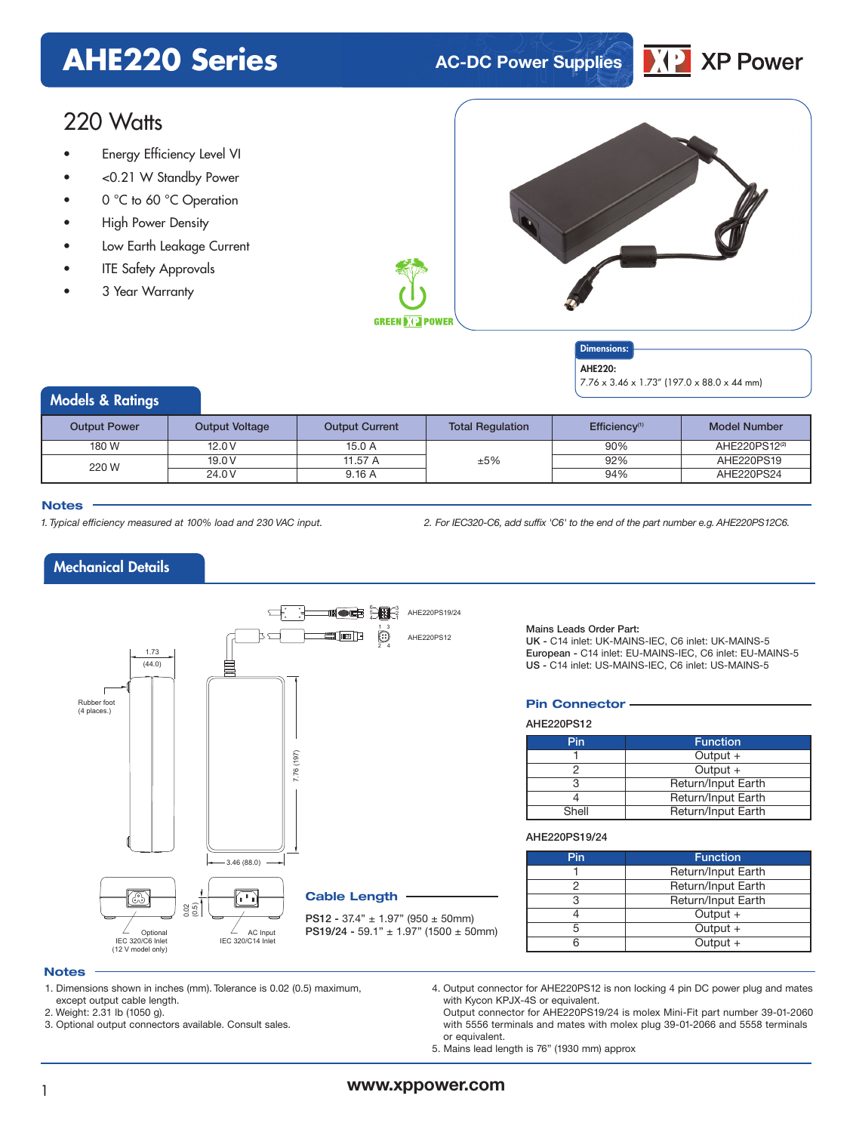### **AHE220 Series AC-DC Power Supplies**



### 220 Watts

- Energy Efficiency Level VI
- <0.21 W Standby Power
- 0 °C to 60 °C Operation
- High Power Density
- Low Earth Leakage Current
- **ITE Safety Approvals**
- 3 Year Warranty



#### Dimensions: AHF<sub>220</sub>.

7.76 x 3.46 x 1.73" (197.0 x 88.0 x 44 mm)

#### Models & Ratings

| <b>Output Power</b> | <b>Output Voltage</b> | <b>Output Current</b> | <b>Total Regulation</b> | Efficiency <sup>(1)</sup> | <b>Model Number</b>       |
|---------------------|-----------------------|-----------------------|-------------------------|---------------------------|---------------------------|
| 180 W               | 12.0V                 | 15.0 A                |                         | 90%                       | AHE220PS12 <sup>(2)</sup> |
| 220 W               | 19.0 V                | 11.57 A               | ±5%                     | 92%                       | AHE220PS19                |
|                     | 24.0 V                | 9.16A                 |                         | 94%                       | AHE220PS24                |

#### **Notes**

1. Typical efficiency measured at 100% load and 230 VAC input. 2. For IEC320-C6, add suffix 'C6' to the end of the part number e.g. AHE220PS12C6.

#### Mechanical Details



Mains Leads Order Part:

UK - C14 inlet: UK-MAINS-IEC, C6 inlet: UK-MAINS-5 European - C14 inlet: EU-MAINS-IEC, C6 inlet: EU-MAINS-5 US - C14 inlet: US-MAINS-IEC, C6 inlet: US-MAINS-5

#### **Pin Connector**

AHE220PS12

| Pin   | <b>Function</b>    |  |  |  |
|-------|--------------------|--|--|--|
|       | Output $+$         |  |  |  |
|       | Output $+$         |  |  |  |
|       | Return/Input Earth |  |  |  |
|       | Return/Input Earth |  |  |  |
| Shell | Return/Input Earth |  |  |  |

#### AHE220PS19/24

| Pin | <b>Function</b>    |  |  |  |
|-----|--------------------|--|--|--|
|     | Return/Input Earth |  |  |  |
|     | Return/Input Earth |  |  |  |
|     | Return/Input Earth |  |  |  |
|     | Output $+$         |  |  |  |
|     | Output $+$         |  |  |  |
|     | Output $+$         |  |  |  |

#### **Notes**

- 1. Dimensions shown in inches (mm). Tolerance is 0.02 (0.5) maximum, except output cable length.
- 2. Weight: 2.31 lb (1050 g).

3. Optional output connectors available. Consult sales.

4. Output connector for AHE220PS12 is non locking 4 pin DC power plug and mates with Kycon KPJX-4S or equivalent.

Output connector for AHE220PS19/24 is molex Mini-Fit part number 39-01-2060 with 5556 terminals and mates with molex plug 39-01-2066 and 5558 terminals or equivalent.

5. Mains lead length is 76" (1930 mm) approx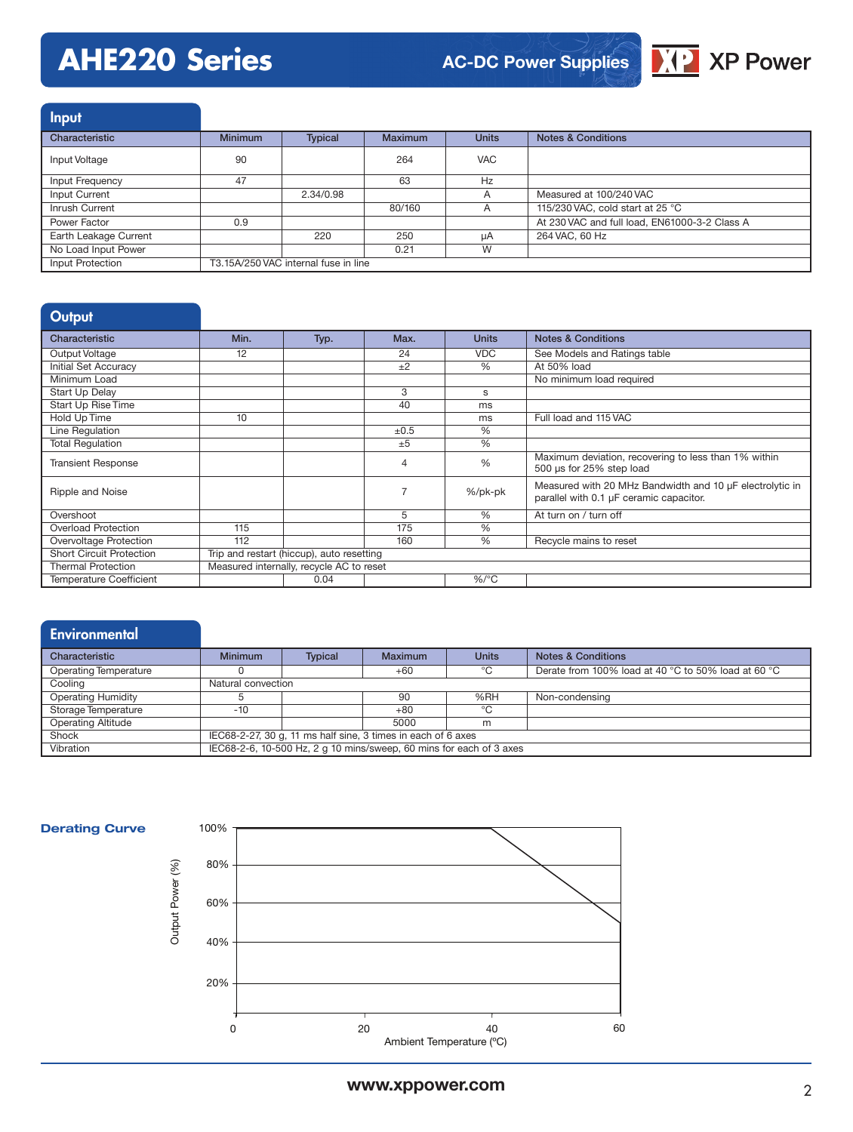# **AHE220 Series**



| <b>Input</b>          |                                      |           |                |              |                                               |
|-----------------------|--------------------------------------|-----------|----------------|--------------|-----------------------------------------------|
| Characteristic        | <b>Minimum</b>                       | Typical   | <b>Maximum</b> | <b>Units</b> | <b>Notes &amp; Conditions</b>                 |
| Input Voltage         | 90                                   |           | 264            | <b>VAC</b>   |                                               |
| Input Frequency       | 47                                   |           | 63             | Hz           |                                               |
| Input Current         |                                      | 2.34/0.98 |                | A            | Measured at 100/240 VAC                       |
| Inrush Current        |                                      |           | 80/160         | A            | 115/230 VAC, cold start at 25 °C              |
| Power Factor          | 0.9                                  |           |                |              | At 230 VAC and full load, EN61000-3-2 Class A |
| Earth Leakage Current |                                      | 220       | 250            | μA           | 264 VAC, 60 Hz                                |
| No Load Input Power   |                                      |           | 0.21           | W            |                                               |
| Input Protection      | T3.15A/250 VAC internal fuse in line |           |                |              |                                               |

#### **Output**

| Characteristic                  | Min.                                      | Typ. | Max. | <b>Units</b>  | <b>Notes &amp; Conditions</b>                                                                       |
|---------------------------------|-------------------------------------------|------|------|---------------|-----------------------------------------------------------------------------------------------------|
| Output Voltage                  | 12                                        |      | 24   | <b>VDC</b>    | See Models and Ratings table                                                                        |
| Initial Set Accuracy            |                                           |      | ±2   | $\frac{0}{0}$ | At 50% load                                                                                         |
| Minimum Load                    |                                           |      |      |               | No minimum load required                                                                            |
| <b>Start Up Delay</b>           |                                           |      | 3    | s             |                                                                                                     |
| Start Up Rise Time              |                                           |      | 40   | ms            |                                                                                                     |
| <b>Hold Up Time</b>             | 10                                        |      |      | ms            | Full load and 115 VAC                                                                               |
| Line Regulation                 |                                           |      | ±0.5 | $\frac{0}{0}$ |                                                                                                     |
| <b>Total Requlation</b>         |                                           |      | ±5   | %             |                                                                                                     |
| <b>Transient Response</b>       |                                           |      |      | $\frac{0}{0}$ | Maximum deviation, recovering to less than 1% within<br>500 µs for 25% step load                    |
| Ripple and Noise                |                                           |      |      | %/pk-pk       | Measured with 20 MHz Bandwidth and 10 µF electrolytic in<br>parallel with 0.1 µF ceramic capacitor. |
| Overshoot                       |                                           |      | 5    | $\frac{0}{0}$ | At turn on / turn off                                                                               |
| Overload Protection             | 115                                       |      | 175  | %             |                                                                                                     |
| Overvoltage Protection          | 112                                       |      | 160  | %             | Recycle mains to reset                                                                              |
| <b>Short Circuit Protection</b> | Trip and restart (hiccup), auto resetting |      |      |               |                                                                                                     |
| <b>Thermal Protection</b>       | Measured internally, recycle AC to reset  |      |      |               |                                                                                                     |
| <b>Temperature Coefficient</b>  |                                           | 0.04 |      | $%$ /°C       |                                                                                                     |

### **Environmental**

| Characteristic               | <b>Minimum</b>                                                      | <b>Typical</b> | Maximum | <b>Units</b>  | <b>Notes &amp; Conditions</b>                       |
|------------------------------|---------------------------------------------------------------------|----------------|---------|---------------|-----------------------------------------------------|
| <b>Operating Temperature</b> |                                                                     |                | $+60$   | $^{\circ}$ C. | Derate from 100% load at 40 °C to 50% load at 60 °C |
| Cooling                      | Natural convection                                                  |                |         |               |                                                     |
| <b>Operating Humidity</b>    |                                                                     |                | 90      | %RH           | Non-condensing                                      |
| Storage Temperature          | -10                                                                 |                | $+80$   | °∩            |                                                     |
| <b>Operating Altitude</b>    |                                                                     |                | 5000    | m             |                                                     |
| Shock                        | IEC68-2-27, 30 g, 11 ms half sine, 3 times in each of 6 axes        |                |         |               |                                                     |
| Vibration                    | IEC68-2-6, 10-500 Hz, 2 g 10 mins/sweep, 60 mins for each of 3 axes |                |         |               |                                                     |

#### **Derating Curve**

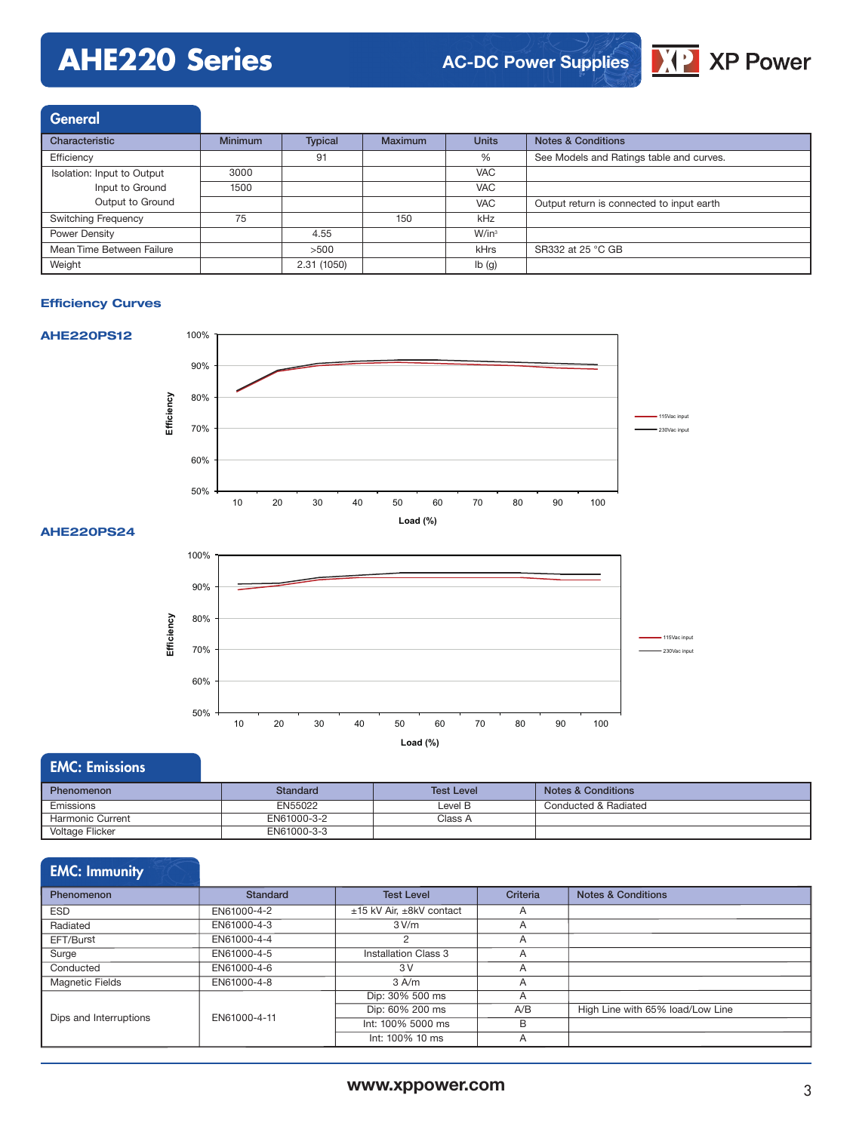# **AHE220 Series**



| <b>General</b>             |                |                |                |              |                                           |
|----------------------------|----------------|----------------|----------------|--------------|-------------------------------------------|
| Characteristic             | <b>Minimum</b> | <b>Typical</b> | <b>Maximum</b> | <b>Units</b> | Notes & Conditions                        |
| Efficiency                 |                | 91             |                | %            | See Models and Ratings table and curves.  |
| Isolation: Input to Output | 3000           |                |                | <b>VAC</b>   |                                           |
| Input to Ground            | 1500           |                |                | <b>VAC</b>   |                                           |
| Output to Ground           |                |                |                | <b>VAC</b>   | Output return is connected to input earth |
| <b>Switching Frequency</b> | 75             |                | 150            | kHz          |                                           |
| Power Density              |                | 4.55           |                | $W/in^3$     |                                           |
| Mean Time Between Failure  |                | >500           |                | kHrs         | SR332 at 25 °C GB                         |
| Weight                     |                | 2.31 (1050)    |                | lb(g)        |                                           |

#### **Efficiency Curves**



#### **AHE220PS24**



#### EMC: Emissions

| <b>Phenomenon</b>      | Standard    | <b>Test Level</b> | <b>Notes &amp; Conditions</b> |
|------------------------|-------------|-------------------|-------------------------------|
| Emissions              | EN55022     | Level B           | Conducted & Radiated          |
| Harmonic Current       | EN61000-3-2 | Class A           |                               |
| <b>Voltage Flicker</b> | EN61000-3-3 |                   |                               |

#### EMC: Immunity

| <b>Phenomenon</b>      | <b>Standard</b> | <b>Test Level</b>        | Criteria       | <b>Notes &amp; Conditions</b>    |
|------------------------|-----------------|--------------------------|----------------|----------------------------------|
| <b>ESD</b>             | EN61000-4-2     | ±15 kV Air, ±8kV contact | $\overline{A}$ |                                  |
| Radiated               | EN61000-4-3     | 3 V/m                    | $\overline{A}$ |                                  |
| EFT/Burst              | EN61000-4-4     |                          | A              |                                  |
| Surge                  | EN61000-4-5     | Installation Class 3     | A              |                                  |
| Conducted              | EN61000-4-6     | 3V                       | $\overline{A}$ |                                  |
| <b>Magnetic Fields</b> | EN61000-4-8     | $3$ A/m                  | A              |                                  |
|                        |                 | Dip: 30% 500 ms          | $\overline{A}$ |                                  |
|                        | EN61000-4-11    | Dip: 60% 200 ms          | A/B            | High Line with 65% load/Low Line |
| Dips and Interruptions |                 | Int: 100% 5000 ms        | B              |                                  |
|                        |                 | Int: 100% 10 ms          | A              |                                  |